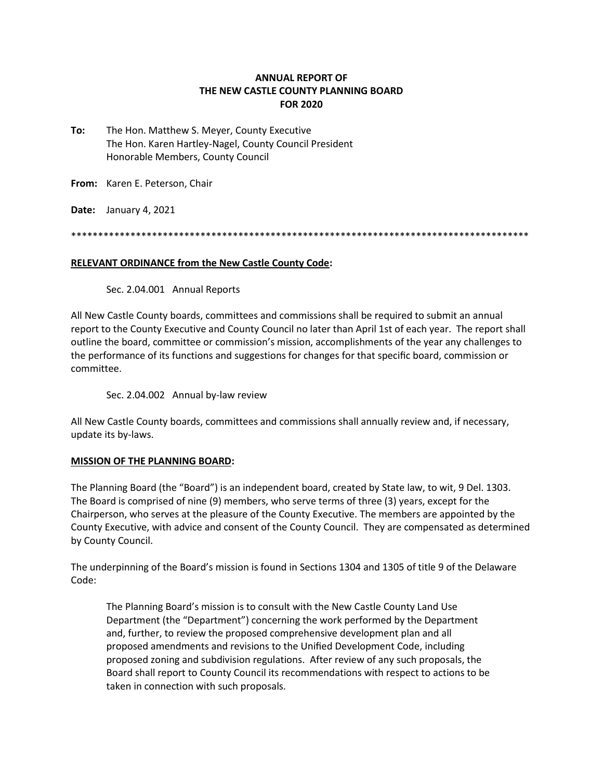## **ANNUAL REPORT OF THE NEW CASTLE COUNTY PLANNING BOARD FOR 2020**

**To:** The Hon. Matthew S. Meyer, County Executive The Hon. Karen Hartley-Nagel, County Council President Honorable Members, County Council

**From:** Karen E. Peterson, Chair

**Date:** January 4, 2021

\*\*\*\*\*\*\*\*\*\*\*\*\*\*\*\*\*\*\*\*\*\*\*\*\*\*\*\*\*\*\*\*\*\*\*\*\*\*\*\*\*\*\*\*\*\*\*\*\*\*\*\*\*\*\*\*\*\*\*\*\*\*\*\*\*\*\*\*\*\*\*\*\*\*\*\*\*\*\*\*\*\*\*\*\*

#### **RELEVANT ORDINANCE from the New Castle County Code:**

Sec. 2.04.001 Annual Reports

All New Castle County boards, committees and commissions shall be required to submit an annual report to the County Executive and County Council no later than April 1st of each year. The report shall outline the board, committee or commission's mission, accomplishments of the year any challenges to the performance of its functions and suggestions for changes for that specific board, commission or committee.

Sec. 2.04.002 Annual by-law review

All New Castle County boards, committees and commissions shall annually review and, if necessary, update its by-laws.

## **MISSION OF THE PLANNING BOARD:**

The Planning Board (the "Board") is an independent board, created by State law, to wit, 9 Del. 1303. The Board is comprised of nine (9) members, who serve terms of three (3) years, except for the Chairperson, who serves at the pleasure of the County Executive. The members are appointed by the County Executive, with advice and consent of the County Council. They are compensated as determined by County Council.

The underpinning of the Board's mission is found in Sections 1304 and 1305 of title 9 of the Delaware Code:

The Planning Board's mission is to consult with the New Castle County Land Use Department (the "Department") concerning the work performed by the Department and, further, to review the proposed comprehensive development plan and all proposed amendments and revisions to the Unified Development Code, including proposed zoning and subdivision regulations. After review of any such proposals, the Board shall report to County Council its recommendations with respect to actions to be taken in connection with such proposals.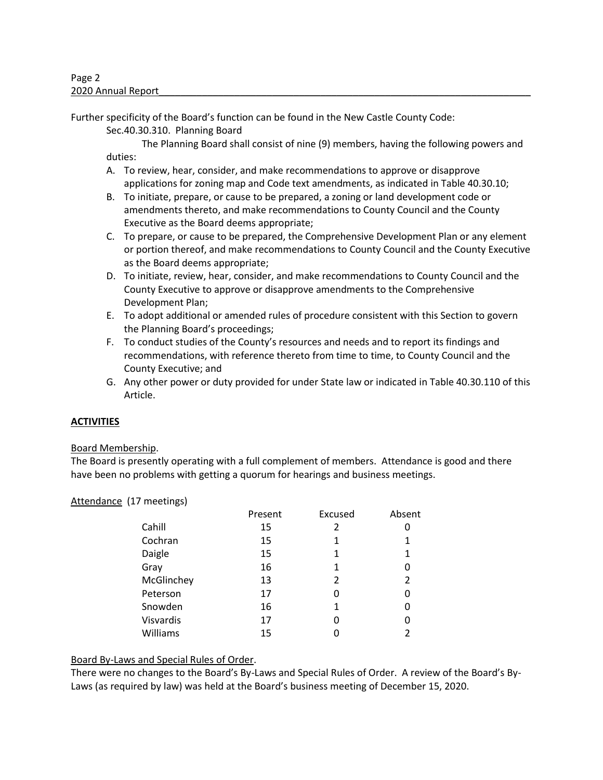Further specificity of the Board's function can be found in the New Castle County Code:

Sec.40.30.310. Planning Board

The Planning Board shall consist of nine (9) members, having the following powers and duties:

- A. To review, hear, consider, and make recommendations to approve or disapprove applications for zoning map and Code text amendments, as indicated in Table 40.30.10;
- B. To initiate, prepare, or cause to be prepared, a zoning or land development code or amendments thereto, and make recommendations to County Council and the County Executive as the Board deems appropriate;
- C. To prepare, or cause to be prepared, the Comprehensive Development Plan or any element or portion thereof, and make recommendations to County Council and the County Executive as the Board deems appropriate;
- D. To initiate, review, hear, consider, and make recommendations to County Council and the County Executive to approve or disapprove amendments to the Comprehensive Development Plan;
- E. To adopt additional or amended rules of procedure consistent with this Section to govern the Planning Board's proceedings;
- F. To conduct studies of the County's resources and needs and to report its findings and recommendations, with reference thereto from time to time, to County Council and the County Executive; and
- G. Any other power or duty provided for under State law or indicated in Table 40.30.110 of this Article.

# **ACTIVITIES**

## Board Membership.

The Board is presently operating with a full complement of members. Attendance is good and there have been no problems with getting a quorum for hearings and business meetings.

## Attendance (17 meetings)

| Present | Excused | Absent |
|---------|---------|--------|
| 15      | 2       |        |
| 15      | 1       | 1      |
| 15      | 1       | 1      |
| 16      | 1       | 0      |
| 13      | 2       | 2      |
| 17      | Ω       | 0      |
| 16      | 1       | 0      |
| 17      | 0       | 0      |
| 15      |         | 2      |
|         |         |        |

## Board By-Laws and Special Rules of Order.

There were no changes to the Board's By-Laws and Special Rules of Order. A review of the Board's By-Laws (as required by law) was held at the Board's business meeting of December 15, 2020.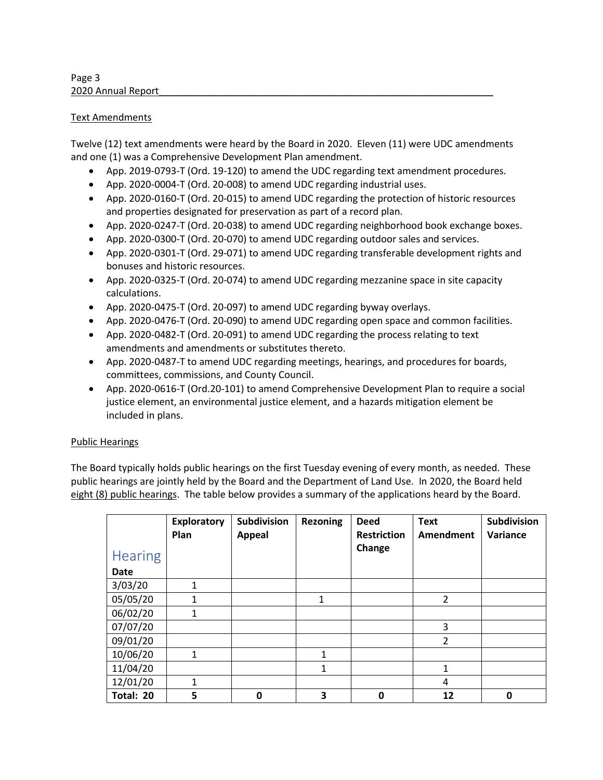Page 3 2020 Annual Report

## Text Amendments

Twelve (12) text amendments were heard by the Board in 2020. Eleven (11) were UDC amendments and one (1) was a Comprehensive Development Plan amendment.

- App. 2019-0793-T (Ord. 19-120) to amend the UDC regarding text amendment procedures.
- App. 2020-0004-T (Ord. 20-008) to amend UDC regarding industrial uses.
- App. 2020-0160-T (Ord. 20-015) to amend UDC regarding the protection of historic resources and properties designated for preservation as part of a record plan.
- App. 2020-0247-T (Ord. 20-038) to amend UDC regarding neighborhood book exchange boxes.
- App. 2020-0300-T (Ord. 20-070) to amend UDC regarding outdoor sales and services.
- App. 2020-0301-T (Ord. 29-071) to amend UDC regarding transferable development rights and bonuses and historic resources.
- App. 2020-0325-T (Ord. 20-074) to amend UDC regarding mezzanine space in site capacity calculations.
- App. 2020-0475-T (Ord. 20-097) to amend UDC regarding byway overlays.
- App. 2020-0476-T (Ord. 20-090) to amend UDC regarding open space and common facilities.
- App. 2020-0482-T (Ord. 20-091) to amend UDC regarding the process relating to text amendments and amendments or substitutes thereto.
- App. 2020-0487-T to amend UDC regarding meetings, hearings, and procedures for boards, committees, commissions, and County Council.
- App. 2020-0616-T (Ord.20-101) to amend Comprehensive Development Plan to require a social justice element, an environmental justice element, and a hazards mitigation element be included in plans.

## Public Hearings

The Board typically holds public hearings on the first Tuesday evening of every month, as needed. These public hearings are jointly held by the Board and the Department of Land Use. In 2020, the Board held eight (8) public hearings. The table below provides a summary of the applications heard by the Board.

|                | <b>Exploratory</b><br>Plan | <b>Subdivision</b><br><b>Appeal</b> | <b>Rezoning</b> | <b>Deed</b><br><b>Restriction</b> | <b>Text</b><br>Amendment | <b>Subdivision</b><br>Variance |
|----------------|----------------------------|-------------------------------------|-----------------|-----------------------------------|--------------------------|--------------------------------|
| <b>Hearing</b> |                            |                                     |                 | Change                            |                          |                                |
| <b>Date</b>    |                            |                                     |                 |                                   |                          |                                |
| 3/03/20        | $\mathbf{1}$               |                                     |                 |                                   |                          |                                |
| 05/05/20       | 1                          |                                     | 1               |                                   | $\overline{2}$           |                                |
| 06/02/20       | 1                          |                                     |                 |                                   |                          |                                |
| 07/07/20       |                            |                                     |                 |                                   | 3                        |                                |
| 09/01/20       |                            |                                     |                 |                                   | $\overline{2}$           |                                |
| 10/06/20       | $\mathbf{1}$               |                                     | 1               |                                   |                          |                                |
| 11/04/20       |                            |                                     | 1               |                                   | 1                        |                                |
| 12/01/20       | 1                          |                                     |                 |                                   | 4                        |                                |
| Total: 20      | 5                          | 0                                   | 3               | 0                                 | 12                       | 0                              |